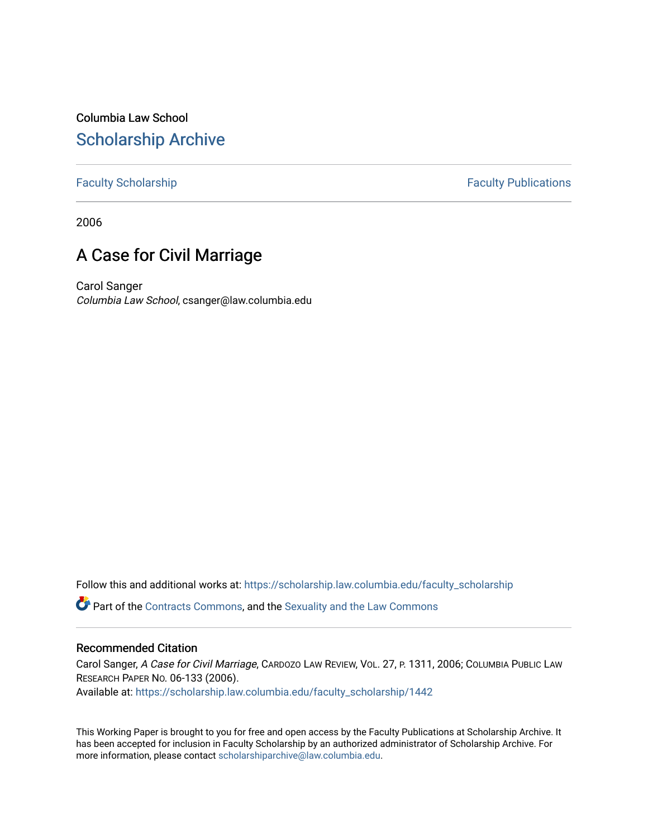## Columbia Law School [Scholarship Archive](https://scholarship.law.columbia.edu/)

[Faculty Scholarship](https://scholarship.law.columbia.edu/faculty_scholarship) **Faculty Scholarship Faculty Publications** 

2006

# A Case for Civil Marriage

Carol Sanger Columbia Law School, csanger@law.columbia.edu

Follow this and additional works at: [https://scholarship.law.columbia.edu/faculty\\_scholarship](https://scholarship.law.columbia.edu/faculty_scholarship?utm_source=scholarship.law.columbia.edu%2Ffaculty_scholarship%2F1442&utm_medium=PDF&utm_campaign=PDFCoverPages)

**P** Part of the [Contracts Commons](http://network.bepress.com/hgg/discipline/591?utm_source=scholarship.law.columbia.edu%2Ffaculty_scholarship%2F1442&utm_medium=PDF&utm_campaign=PDFCoverPages), and the [Sexuality and the Law Commons](http://network.bepress.com/hgg/discipline/877?utm_source=scholarship.law.columbia.edu%2Ffaculty_scholarship%2F1442&utm_medium=PDF&utm_campaign=PDFCoverPages)

#### Recommended Citation

Carol Sanger, A Case for Civil Marriage, CARDOZO LAW REVIEW, VOL. 27, P. 1311, 2006; COLUMBIA PUBLIC LAW RESEARCH PAPER NO. 06-133 (2006). Available at: [https://scholarship.law.columbia.edu/faculty\\_scholarship/1442](https://scholarship.law.columbia.edu/faculty_scholarship/1442?utm_source=scholarship.law.columbia.edu%2Ffaculty_scholarship%2F1442&utm_medium=PDF&utm_campaign=PDFCoverPages)

This Working Paper is brought to you for free and open access by the Faculty Publications at Scholarship Archive. It has been accepted for inclusion in Faculty Scholarship by an authorized administrator of Scholarship Archive. For more information, please contact [scholarshiparchive@law.columbia.edu.](mailto:scholarshiparchive@law.columbia.edu)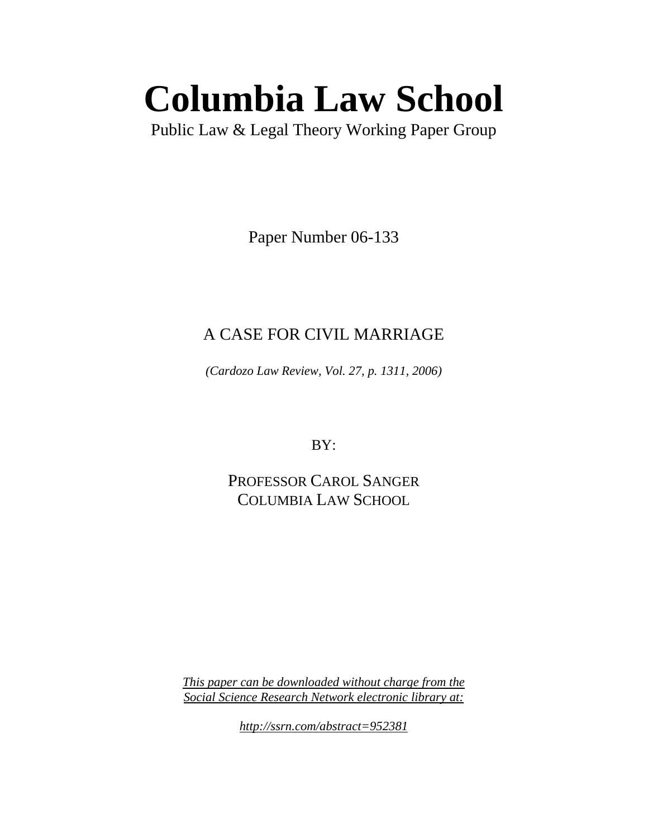# **Columbia Law School**

Public Law & Legal Theory Working Paper Group

Paper Number 06-133

# A CASE FOR CIVIL MARRIAGE

*(Cardozo Law Review, Vol. 27, p. 1311, 2006)* 

BY:

PROFESSOR CAROL SANGER COLUMBIA LAW SCHOOL

*This paper can be downloaded without charge from the Social Science Research Network electronic library at:*

*http://ssrn.com/abstract=952381*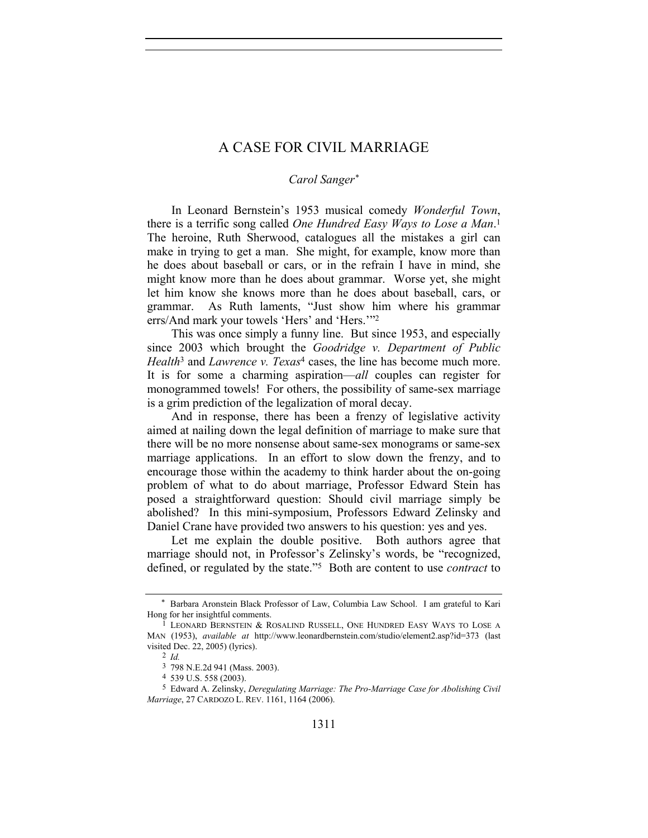### A CASE FOR CIVIL MARRIAGE

#### *Carol Sanger\**

In Leonard Bernstein's 1953 musical comedy *Wonderful Town*, there is a terrific song called *One Hundred Easy Ways to Lose a Man*. 1 The heroine, Ruth Sherwood, catalogues all the mistakes a girl can make in trying to get a man. She might, for example, know more than he does about baseball or cars, or in the refrain I have in mind, she might know more than he does about grammar. Worse yet, she might let him know she knows more than he does about baseball, cars, or grammar. As Ruth laments, "Just show him where his grammar errs/And mark your towels 'Hers' and 'Hers.'"2

This was once simply a funny line. But since 1953, and especially since 2003 which brought the *Goodridge v. Department of Public Health*3 and *Lawrence v. Texas*4 cases, the line has become much more. It is for some a charming aspiration—*all* couples can register for monogrammed towels! For others, the possibility of same-sex marriage is a grim prediction of the legalization of moral decay.

And in response, there has been a frenzy of legislative activity aimed at nailing down the legal definition of marriage to make sure that there will be no more nonsense about same-sex monograms or same-sex marriage applications. In an effort to slow down the frenzy, and to encourage those within the academy to think harder about the on-going problem of what to do about marriage, Professor Edward Stein has posed a straightforward question: Should civil marriage simply be abolished? In this mini-symposium, Professors Edward Zelinsky and Daniel Crane have provided two answers to his question: yes and yes.

Let me explain the double positive. Both authors agree that marriage should not, in Professor's Zelinsky's words, be "recognized, defined, or regulated by the state."5 Both are content to use *contract* to

<sup>\*</sup> Barbara Aronstein Black Professor of Law, Columbia Law School. I am grateful to Kari Hong for her insightful comments.

 <sup>1</sup> LEONARD BERNSTEIN & ROSALIND RUSSELL, ONE HUNDRED EASY WAYS TO LOSE A MAN (1953), *available at* http://www.leonardbernstein.com/studio/element2.asp?id=373 (last visited Dec. 22, 2005) (lyrics).

<sup>2</sup> *Id.*

 <sup>3 798</sup> N.E.2d 941 (Mass. 2003).

<sup>4 539</sup> U.S. 558 (2003).

 <sup>5</sup> Edward A. Zelinsky, *Deregulating Marriage: The Pro-Marriage Case for Abolishing Civil Marriage*, 27 CARDOZO L. REV. 1161, 1164 (2006).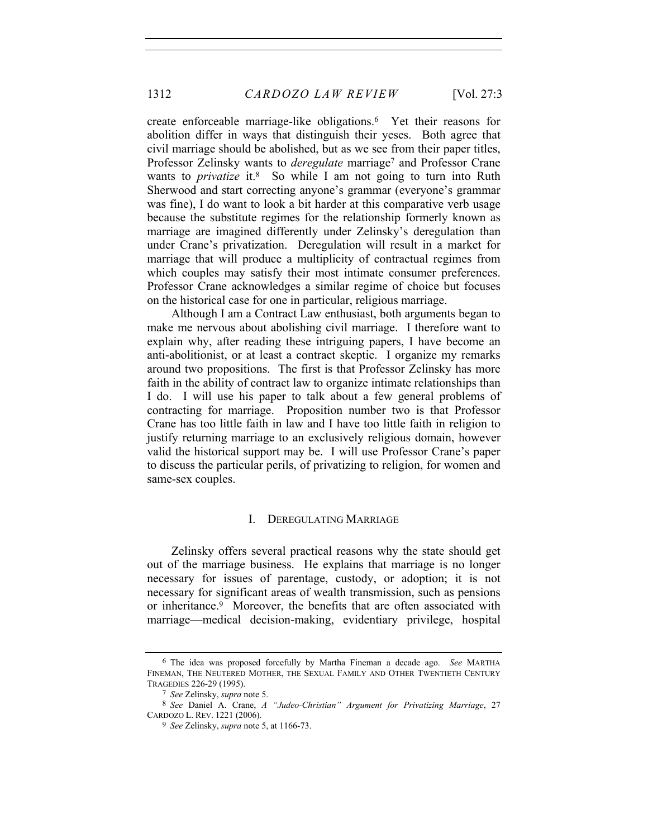1312 *CARDOZO LAW REVIEW* [Vol. 27:3

create enforceable marriage-like obligations.6 Yet their reasons for abolition differ in ways that distinguish their yeses. Both agree that civil marriage should be abolished, but as we see from their paper titles, Professor Zelinsky wants to *deregulate* marriage<sup>7</sup> and Professor Crane wants to *privatize* it.<sup>8</sup> So while I am not going to turn into Ruth Sherwood and start correcting anyone's grammar (everyone's grammar was fine), I do want to look a bit harder at this comparative verb usage because the substitute regimes for the relationship formerly known as marriage are imagined differently under Zelinsky's deregulation than under Crane's privatization. Deregulation will result in a market for marriage that will produce a multiplicity of contractual regimes from which couples may satisfy their most intimate consumer preferences. Professor Crane acknowledges a similar regime of choice but focuses on the historical case for one in particular, religious marriage.

Although I am a Contract Law enthusiast, both arguments began to make me nervous about abolishing civil marriage. I therefore want to explain why, after reading these intriguing papers, I have become an anti-abolitionist, or at least a contract skeptic. I organize my remarks around two propositions. The first is that Professor Zelinsky has more faith in the ability of contract law to organize intimate relationships than I do. I will use his paper to talk about a few general problems of contracting for marriage. Proposition number two is that Professor Crane has too little faith in law and I have too little faith in religion to justify returning marriage to an exclusively religious domain, however valid the historical support may be. I will use Professor Crane's paper to discuss the particular perils, of privatizing to religion, for women and same-sex couples.

#### I. DEREGULATING MARRIAGE

Zelinsky offers several practical reasons why the state should get out of the marriage business. He explains that marriage is no longer necessary for issues of parentage, custody, or adoption; it is not necessary for significant areas of wealth transmission, such as pensions or inheritance.9 Moreover, the benefits that are often associated with marriage—medical decision-making, evidentiary privilege, hospital

<sup>6</sup> The idea was proposed forcefully by Martha Fineman a decade ago. *See* MARTHA FINEMAN, THE NEUTERED MOTHER, THE SEXUAL FAMILY AND OTHER TWENTIETH CENTURY TRAGEDIES 226-29 (1995).

 <sup>7</sup> *See* Zelinsky, *supra* note 5.

<sup>8</sup> *See* Daniel A. Crane, *A "Judeo-Christian" Argument for Privatizing Marriage*, 27 CARDOZO L. REV. 1221 (2006).

<sup>9</sup> *See* Zelinsky, *supra* note 5, at 1166-73.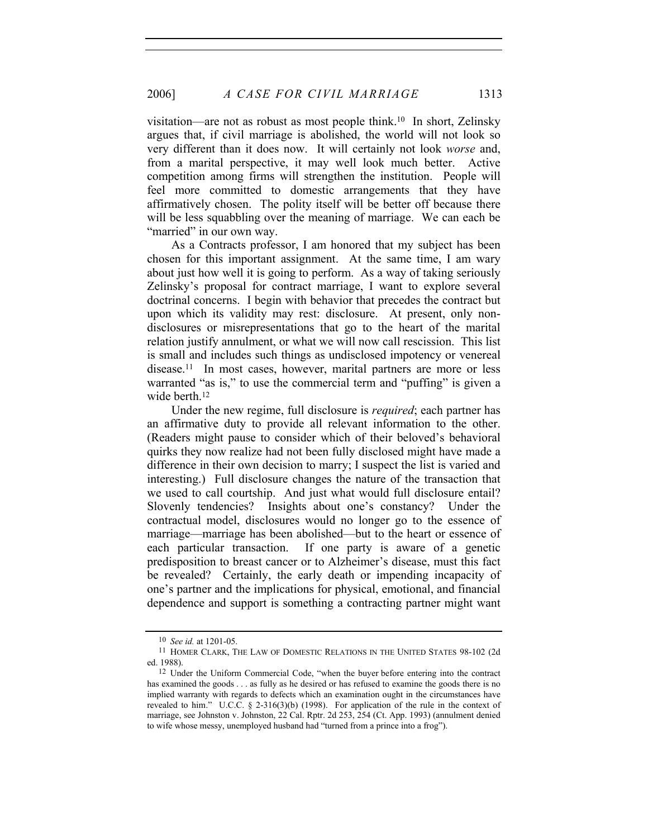visitation—are not as robust as most people think.10 In short, Zelinsky argues that, if civil marriage is abolished, the world will not look so very different than it does now. It will certainly not look *worse* and, from a marital perspective, it may well look much better. Active competition among firms will strengthen the institution. People will feel more committed to domestic arrangements that they have affirmatively chosen. The polity itself will be better off because there will be less squabbling over the meaning of marriage. We can each be "married" in our own way.

As a Contracts professor, I am honored that my subject has been chosen for this important assignment. At the same time, I am wary about just how well it is going to perform. As a way of taking seriously Zelinsky's proposal for contract marriage, I want to explore several doctrinal concerns. I begin with behavior that precedes the contract but upon which its validity may rest: disclosure. At present, only nondisclosures or misrepresentations that go to the heart of the marital relation justify annulment, or what we will now call rescission. This list is small and includes such things as undisclosed impotency or venereal disease.11 In most cases, however, marital partners are more or less warranted "as is," to use the commercial term and "puffing" is given a wide berth.<sup>12</sup>

Under the new regime, full disclosure is *required*; each partner has an affirmative duty to provide all relevant information to the other. (Readers might pause to consider which of their beloved's behavioral quirks they now realize had not been fully disclosed might have made a difference in their own decision to marry; I suspect the list is varied and interesting.) Full disclosure changes the nature of the transaction that we used to call courtship. And just what would full disclosure entail? Slovenly tendencies? Insights about one's constancy? Under the contractual model, disclosures would no longer go to the essence of marriage—marriage has been abolished—but to the heart or essence of each particular transaction. If one party is aware of a genetic predisposition to breast cancer or to Alzheimer's disease, must this fact be revealed? Certainly, the early death or impending incapacity of one's partner and the implications for physical, emotional, and financial dependence and support is something a contracting partner might want

 <sup>10</sup> *See id.* at 1201-05.

<sup>11</sup> HOMER CLARK, THE LAW OF DOMESTIC RELATIONS IN THE UNITED STATES 98-102 (2d ed. 1988).

<sup>12</sup> Under the Uniform Commercial Code, "when the buyer before entering into the contract has examined the goods . . . as fully as he desired or has refused to examine the goods there is no implied warranty with regards to defects which an examination ought in the circumstances have revealed to him." U.C.C. § 2-316(3)(b) (1998). For application of the rule in the context of marriage, see Johnston v. Johnston, 22 Cal. Rptr. 2d 253, 254 (Ct. App. 1993) (annulment denied to wife whose messy, unemployed husband had "turned from a prince into a frog").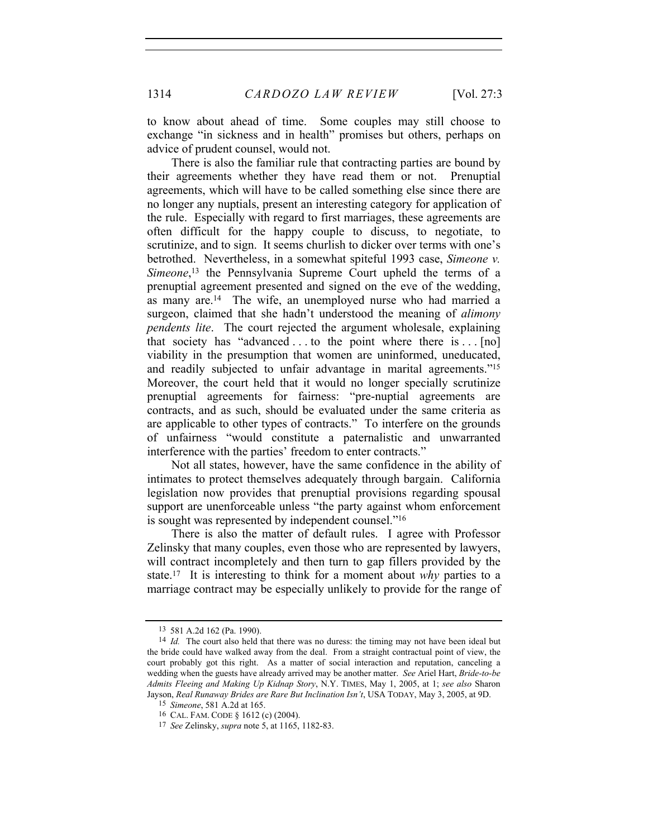1314 *CARDOZO LAW REVIEW* [Vol. 27:3

to know about ahead of time. Some couples may still choose to exchange "in sickness and in health" promises but others, perhaps on advice of prudent counsel, would not.

There is also the familiar rule that contracting parties are bound by their agreements whether they have read them or not. Prenuptial agreements, which will have to be called something else since there are no longer any nuptials, present an interesting category for application of the rule. Especially with regard to first marriages, these agreements are often difficult for the happy couple to discuss, to negotiate, to scrutinize, and to sign. It seems churlish to dicker over terms with one's betrothed. Nevertheless, in a somewhat spiteful 1993 case, *Simeone v. Simeone*, 13 the Pennsylvania Supreme Court upheld the terms of a prenuptial agreement presented and signed on the eve of the wedding, as many are.14 The wife, an unemployed nurse who had married a surgeon, claimed that she hadn't understood the meaning of *alimony pendents lite*. The court rejected the argument wholesale, explaining that society has "advanced  $\dots$  to the point where there is  $\dots$  [no] viability in the presumption that women are uninformed, uneducated, and readily subjected to unfair advantage in marital agreements."15 Moreover, the court held that it would no longer specially scrutinize prenuptial agreements for fairness: "pre-nuptial agreements are contracts, and as such, should be evaluated under the same criteria as are applicable to other types of contracts." To interfere on the grounds of unfairness "would constitute a paternalistic and unwarranted interference with the parties' freedom to enter contracts."

Not all states, however, have the same confidence in the ability of intimates to protect themselves adequately through bargain. California legislation now provides that prenuptial provisions regarding spousal support are unenforceable unless "the party against whom enforcement is sought was represented by independent counsel."16

There is also the matter of default rules. I agree with Professor Zelinsky that many couples, even those who are represented by lawyers, will contract incompletely and then turn to gap fillers provided by the state.17 It is interesting to think for a moment about *why* parties to a marriage contract may be especially unlikely to provide for the range of

<sup>13</sup> 581 A.2d 162 (Pa. 1990).

<sup>&</sup>lt;sup>14</sup> *Id.* The court also held that there was no duress: the timing may not have been ideal but the bride could have walked away from the deal. From a straight contractual point of view, the court probably got this right. As a matter of social interaction and reputation, canceling a wedding when the guests have already arrived may be another matter. *See* Ariel Hart, *Bride-to-be Admits Fleeing and Making Up Kidnap Story*, N.Y. TIMES, May 1, 2005, at 1; *see also* Sharon Jayson, *Real Runaway Brides are Rare But Inclination Isn't*, USA TODAY, May 3, 2005, at 9D.

<sup>15</sup> *Simeone*, 581 A.2d at 165.

<sup>16</sup> CAL. FAM. CODE § 1612 (c) (2004).

<sup>17</sup> *See* Zelinsky, *supra* note 5, at 1165, 1182-83.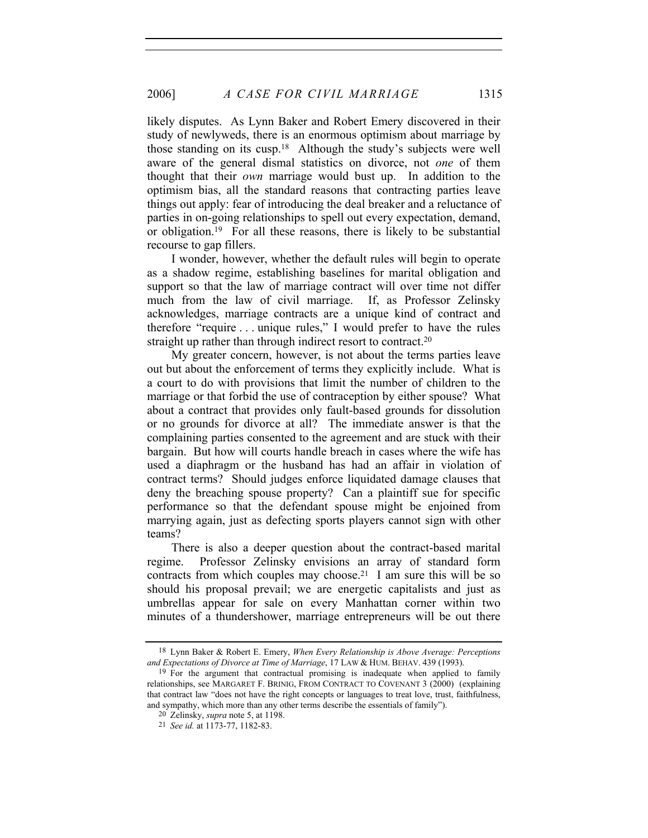likely disputes. As Lynn Baker and Robert Emery discovered in their study of newlyweds, there is an enormous optimism about marriage by those standing on its cusp.18 Although the study's subjects were well aware of the general dismal statistics on divorce, not *one* of them thought that their *own* marriage would bust up. In addition to the optimism bias, all the standard reasons that contracting parties leave things out apply: fear of introducing the deal breaker and a reluctance of parties in on-going relationships to spell out every expectation, demand, or obligation.19 For all these reasons, there is likely to be substantial recourse to gap fillers.

I wonder, however, whether the default rules will begin to operate as a shadow regime, establishing baselines for marital obligation and support so that the law of marriage contract will over time not differ much from the law of civil marriage. If, as Professor Zelinsky acknowledges, marriage contracts are a unique kind of contract and therefore "require . . . unique rules," I would prefer to have the rules straight up rather than through indirect resort to contract.<sup>20</sup>

My greater concern, however, is not about the terms parties leave out but about the enforcement of terms they explicitly include. What is a court to do with provisions that limit the number of children to the marriage or that forbid the use of contraception by either spouse? What about a contract that provides only fault-based grounds for dissolution or no grounds for divorce at all? The immediate answer is that the complaining parties consented to the agreement and are stuck with their bargain. But how will courts handle breach in cases where the wife has used a diaphragm or the husband has had an affair in violation of contract terms? Should judges enforce liquidated damage clauses that deny the breaching spouse property? Can a plaintiff sue for specific performance so that the defendant spouse might be enjoined from marrying again, just as defecting sports players cannot sign with other teams?

There is also a deeper question about the contract-based marital regime. Professor Zelinsky envisions an array of standard form contracts from which couples may choose.21 I am sure this will be so should his proposal prevail; we are energetic capitalists and just as umbrellas appear for sale on every Manhattan corner within two minutes of a thundershower, marriage entrepreneurs will be out there

<sup>18</sup> Lynn Baker & Robert E. Emery, *When Every Relationship is Above Average: Perceptions and Expectations of Divorce at Time of Marriage*, 17 LAW & HUM. BEHAV. 439 (1993).

<sup>19</sup> For the argument that contractual promising is inadequate when applied to family relationships, see MARGARET F. BRINIG, FROM CONTRACT TO COVENANT 3 (2000) (explaining that contract law "does not have the right concepts or languages to treat love, trust, faithfulness, and sympathy, which more than any other terms describe the essentials of family").

<sup>20</sup> Zelinsky, *supra* note 5, at 1198.

<sup>21</sup> *See id.* at 1173-77, 1182-83.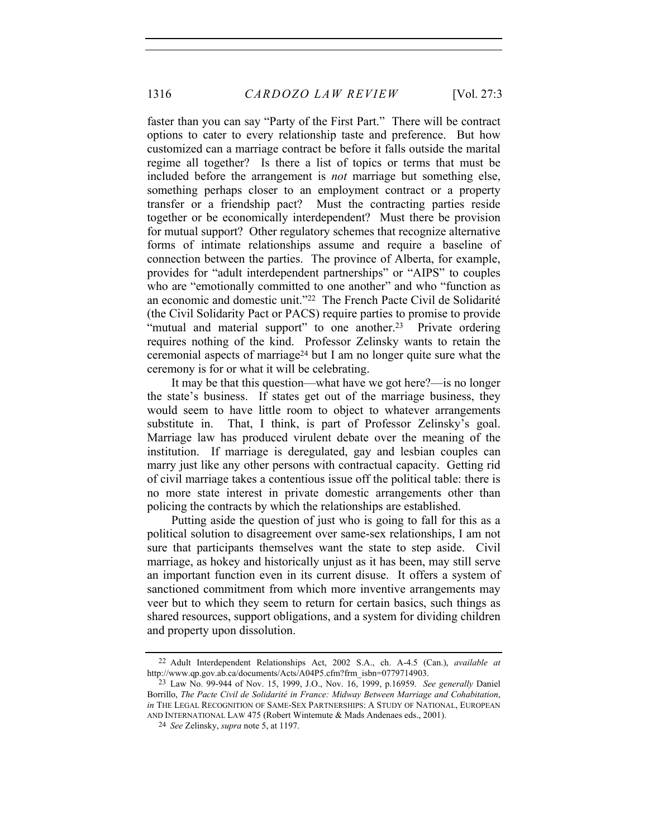faster than you can say "Party of the First Part." There will be contract options to cater to every relationship taste and preference. But how customized can a marriage contract be before it falls outside the marital regime all together? Is there a list of topics or terms that must be included before the arrangement is *not* marriage but something else, something perhaps closer to an employment contract or a property transfer or a friendship pact? Must the contracting parties reside together or be economically interdependent? Must there be provision for mutual support? Other regulatory schemes that recognize alternative forms of intimate relationships assume and require a baseline of connection between the parties. The province of Alberta, for example, provides for "adult interdependent partnerships" or "AIPS" to couples who are "emotionally committed to one another" and who "function as an economic and domestic unit."22 The French Pacte Civil de Solidarité (the Civil Solidarity Pact or PACS) require parties to promise to provide "mutual and material support" to one another.<sup>23</sup> Private ordering requires nothing of the kind. Professor Zelinsky wants to retain the ceremonial aspects of marriage24 but I am no longer quite sure what the ceremony is for or what it will be celebrating.

It may be that this question—what have we got here?—is no longer the state's business. If states get out of the marriage business, they would seem to have little room to object to whatever arrangements substitute in. That, I think, is part of Professor Zelinsky's goal. Marriage law has produced virulent debate over the meaning of the institution. If marriage is deregulated, gay and lesbian couples can marry just like any other persons with contractual capacity. Getting rid of civil marriage takes a contentious issue off the political table: there is no more state interest in private domestic arrangements other than policing the contracts by which the relationships are established.

Putting aside the question of just who is going to fall for this as a political solution to disagreement over same-sex relationships, I am not sure that participants themselves want the state to step aside. Civil marriage, as hokey and historically unjust as it has been, may still serve an important function even in its current disuse. It offers a system of sanctioned commitment from which more inventive arrangements may veer but to which they seem to return for certain basics, such things as shared resources, support obligations, and a system for dividing children and property upon dissolution.

<sup>22</sup> Adult Interdependent Relationships Act, 2002 S.A., ch. A-4.5 (Can.), *available at* http://www.qp.gov.ab.ca/documents/Acts/A04P5.cfm?frm\_isbn=0779714903.

<sup>23</sup> Law No. 99-944 of Nov. 15, 1999, J.O., Nov. 16, 1999, p.16959. *See generally* Daniel Borrillo, *The Pacte Civil de Solidarité in France: Midway Between Marriage and Cohabitation*, *in* THE LEGAL RECOGNITION OF SAME-SEX PARTNERSHIPS: A STUDY OF NATIONAL, EUROPEAN AND INTERNATIONAL LAW 475 (Robert Wintemute & Mads Andenaes eds., 2001).

<sup>24</sup> *See* Zelinsky, *supra* note 5, at 1197.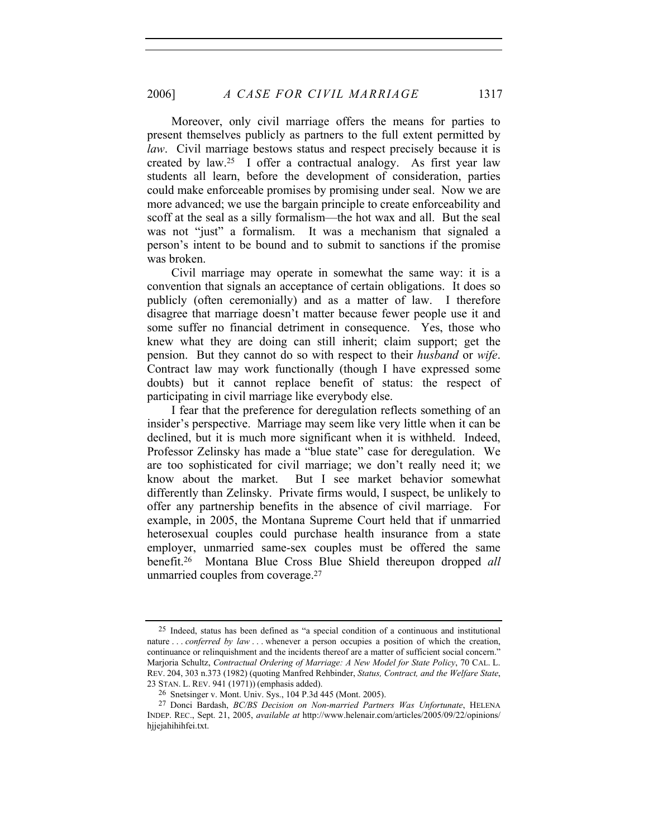Moreover, only civil marriage offers the means for parties to present themselves publicly as partners to the full extent permitted by *law*. Civil marriage bestows status and respect precisely because it is created by law.25 I offer a contractual analogy. As first year law students all learn, before the development of consideration, parties could make enforceable promises by promising under seal. Now we are more advanced; we use the bargain principle to create enforceability and scoff at the seal as a silly formalism—the hot wax and all. But the seal was not "just" a formalism. It was a mechanism that signaled a person's intent to be bound and to submit to sanctions if the promise was broken.

Civil marriage may operate in somewhat the same way: it is a convention that signals an acceptance of certain obligations. It does so publicly (often ceremonially) and as a matter of law. I therefore disagree that marriage doesn't matter because fewer people use it and some suffer no financial detriment in consequence. Yes, those who knew what they are doing can still inherit; claim support; get the pension. But they cannot do so with respect to their *husband* or *wife*. Contract law may work functionally (though I have expressed some doubts) but it cannot replace benefit of status: the respect of participating in civil marriage like everybody else.

I fear that the preference for deregulation reflects something of an insider's perspective. Marriage may seem like very little when it can be declined, but it is much more significant when it is withheld. Indeed, Professor Zelinsky has made a "blue state" case for deregulation. We are too sophisticated for civil marriage; we don't really need it; we know about the market. But I see market behavior somewhat differently than Zelinsky. Private firms would, I suspect, be unlikely to offer any partnership benefits in the absence of civil marriage. For example, in 2005, the Montana Supreme Court held that if unmarried heterosexual couples could purchase health insurance from a state employer, unmarried same-sex couples must be offered the same benefit.26 Montana Blue Cross Blue Shield thereupon dropped *all* unmarried couples from coverage.27

<sup>25</sup> Indeed, status has been defined as "a special condition of a continuous and institutional nature . . . *conferred by law* . . . whenever a person occupies a position of which the creation, continuance or relinquishment and the incidents thereof are a matter of sufficient social concern." Marjoria Schultz, *Contractual Ordering of Marriage: A New Model for State Policy*, 70 CAL. L. REV. 204, 303 n.373 (1982) (quoting Manfred Rehbinder, *Status, Contract, and the Welfare State*, 23 STAN. L. REV. 941 (1971)) (emphasis added).

<sup>26</sup> Snetsinger v. Mont. Univ. Sys., 104 P.3d 445 (Mont. 2005).

<sup>27</sup> Donci Bardash, *BC/BS Decision on Non-married Partners Was Unfortunate*, HELENA INDEP. REC., Sept. 21, 2005, *available at* http://www.helenair.com/articles/2005/09/22/opinions/ hjjejahihihfei.txt.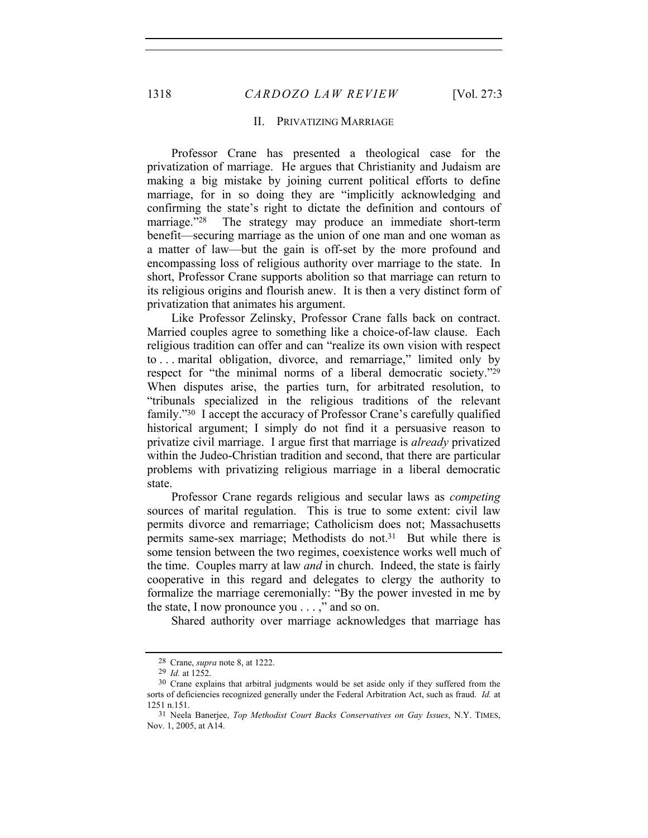#### II. PRIVATIZING MARRIAGE

Professor Crane has presented a theological case for the privatization of marriage. He argues that Christianity and Judaism are making a big mistake by joining current political efforts to define marriage, for in so doing they are "implicitly acknowledging and confirming the state's right to dictate the definition and contours of marriage."<sup>28</sup> The strategy may produce an immediate short-term benefit—securing marriage as the union of one man and one woman as a matter of law—but the gain is off-set by the more profound and encompassing loss of religious authority over marriage to the state. In short, Professor Crane supports abolition so that marriage can return to its religious origins and flourish anew. It is then a very distinct form of privatization that animates his argument.

Like Professor Zelinsky, Professor Crane falls back on contract. Married couples agree to something like a choice-of-law clause. Each religious tradition can offer and can "realize its own vision with respect to . . . marital obligation, divorce, and remarriage," limited only by respect for "the minimal norms of a liberal democratic society."29 When disputes arise, the parties turn, for arbitrated resolution, to "tribunals specialized in the religious traditions of the relevant family."30 I accept the accuracy of Professor Crane's carefully qualified historical argument; I simply do not find it a persuasive reason to privatize civil marriage. I argue first that marriage is *already* privatized within the Judeo-Christian tradition and second, that there are particular problems with privatizing religious marriage in a liberal democratic state.

Professor Crane regards religious and secular laws as *competing* sources of marital regulation. This is true to some extent: civil law permits divorce and remarriage; Catholicism does not; Massachusetts permits same-sex marriage; Methodists do not.31 But while there is some tension between the two regimes, coexistence works well much of the time. Couples marry at law *and* in church. Indeed, the state is fairly cooperative in this regard and delegates to clergy the authority to formalize the marriage ceremonially: "By the power invested in me by the state, I now pronounce you . . . ," and so on.

Shared authority over marriage acknowledges that marriage has

<sup>28</sup> Crane, *supra* note 8, at 1222.

<sup>29</sup> *Id.* at 1252.

<sup>30</sup> Crane explains that arbitral judgments would be set aside only if they suffered from the sorts of deficiencies recognized generally under the Federal Arbitration Act, such as fraud. *Id.* at 1251 n.151.

<sup>31</sup> Neela Banerjee, *Top Methodist Court Backs Conservatives on Gay Issues*, N.Y. TIMES, Nov. 1, 2005, at A14.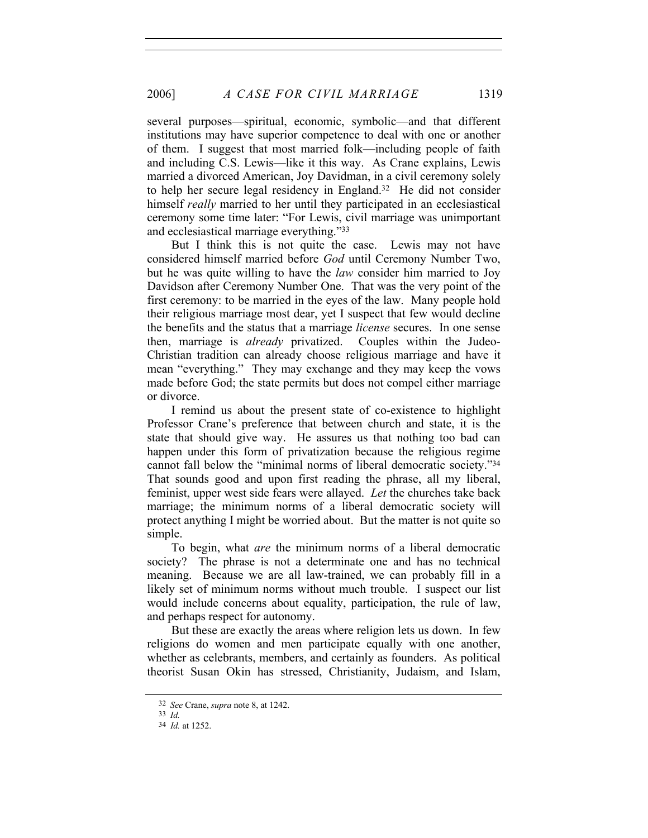several purposes—spiritual, economic, symbolic—and that different institutions may have superior competence to deal with one or another of them. I suggest that most married folk—including people of faith and including C.S. Lewis—like it this way. As Crane explains, Lewis married a divorced American, Joy Davidman, in a civil ceremony solely to help her secure legal residency in England.32 He did not consider himself *really* married to her until they participated in an ecclesiastical ceremony some time later: "For Lewis, civil marriage was unimportant and ecclesiastical marriage everything."33

But I think this is not quite the case. Lewis may not have considered himself married before *God* until Ceremony Number Two, but he was quite willing to have the *law* consider him married to Joy Davidson after Ceremony Number One. That was the very point of the first ceremony: to be married in the eyes of the law. Many people hold their religious marriage most dear, yet I suspect that few would decline the benefits and the status that a marriage *license* secures. In one sense then, marriage is *already* privatized. Couples within the Judeo-Christian tradition can already choose religious marriage and have it mean "everything." They may exchange and they may keep the vows made before God; the state permits but does not compel either marriage or divorce.

I remind us about the present state of co-existence to highlight Professor Crane's preference that between church and state, it is the state that should give way. He assures us that nothing too bad can happen under this form of privatization because the religious regime cannot fall below the "minimal norms of liberal democratic society."34 That sounds good and upon first reading the phrase, all my liberal, feminist, upper west side fears were allayed. *Let* the churches take back marriage; the minimum norms of a liberal democratic society will protect anything I might be worried about. But the matter is not quite so simple.

To begin, what *are* the minimum norms of a liberal democratic society? The phrase is not a determinate one and has no technical meaning. Because we are all law-trained, we can probably fill in a likely set of minimum norms without much trouble. I suspect our list would include concerns about equality, participation, the rule of law, and perhaps respect for autonomy.

But these are exactly the areas where religion lets us down. In few religions do women and men participate equally with one another, whether as celebrants, members, and certainly as founders. As political theorist Susan Okin has stressed, Christianity, Judaism, and Islam,

<sup>32</sup> *See* Crane, *supra* note 8, at 1242.

<sup>33</sup> *Id.*

<sup>34</sup> *Id.* at 1252.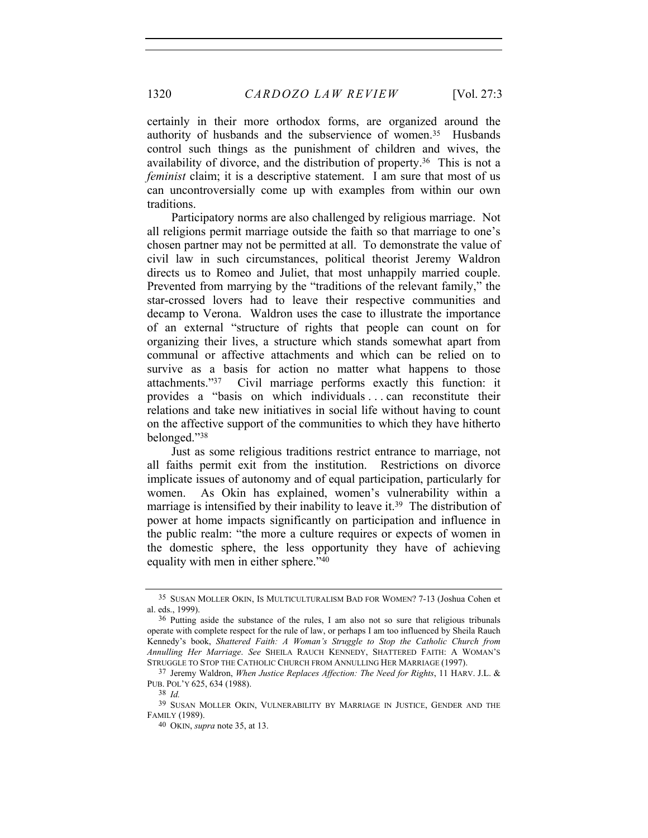certainly in their more orthodox forms, are organized around the authority of husbands and the subservience of women.35 Husbands control such things as the punishment of children and wives, the availability of divorce, and the distribution of property.36 This is not a *feminist* claim; it is a descriptive statement. I am sure that most of us can uncontroversially come up with examples from within our own traditions.

Participatory norms are also challenged by religious marriage. Not all religions permit marriage outside the faith so that marriage to one's chosen partner may not be permitted at all. To demonstrate the value of civil law in such circumstances, political theorist Jeremy Waldron directs us to Romeo and Juliet, that most unhappily married couple. Prevented from marrying by the "traditions of the relevant family," the star-crossed lovers had to leave their respective communities and decamp to Verona. Waldron uses the case to illustrate the importance of an external "structure of rights that people can count on for organizing their lives, a structure which stands somewhat apart from communal or affective attachments and which can be relied on to survive as a basis for action no matter what happens to those attachments."37 Civil marriage performs exactly this function: it provides a "basis on which individuals . . . can reconstitute their relations and take new initiatives in social life without having to count on the affective support of the communities to which they have hitherto belonged."38

Just as some religious traditions restrict entrance to marriage, not all faiths permit exit from the institution. Restrictions on divorce implicate issues of autonomy and of equal participation, particularly for women. As Okin has explained, women's vulnerability within a marriage is intensified by their inability to leave it.<sup>39</sup> The distribution of power at home impacts significantly on participation and influence in the public realm: "the more a culture requires or expects of women in the domestic sphere, the less opportunity they have of achieving equality with men in either sphere."40

<sup>35</sup> SUSAN MOLLER OKIN, IS MULTICULTURALISM BAD FOR WOMEN? 7-13 (Joshua Cohen et al. eds., 1999).

<sup>&</sup>lt;sup>36</sup> Putting aside the substance of the rules, I am also not so sure that religious tribunals operate with complete respect for the rule of law, or perhaps I am too influenced by Sheila Rauch Kennedy's book, *Shattered Faith: A Woman's Struggle to Stop the Catholic Church from Annulling Her Marriage*. *See* SHEILA RAUCH KENNEDY, SHATTERED FAITH: A WOMAN'S STRUGGLE TO STOP THE CATHOLIC CHURCH FROM ANNULLING HER MARRIAGE (1997).

<sup>37</sup> Jeremy Waldron, *When Justice Replaces Affection: The Need for Rights*, 11 HARV. J.L. & PUB. POL'Y 625, 634 (1988).

<sup>38</sup> *Id.*

<sup>39</sup> SUSAN MOLLER OKIN, VULNERABILITY BY MARRIAGE IN JUSTICE, GENDER AND THE FAMILY (1989).

<sup>40</sup> OKIN, *supra* note 35, at 13.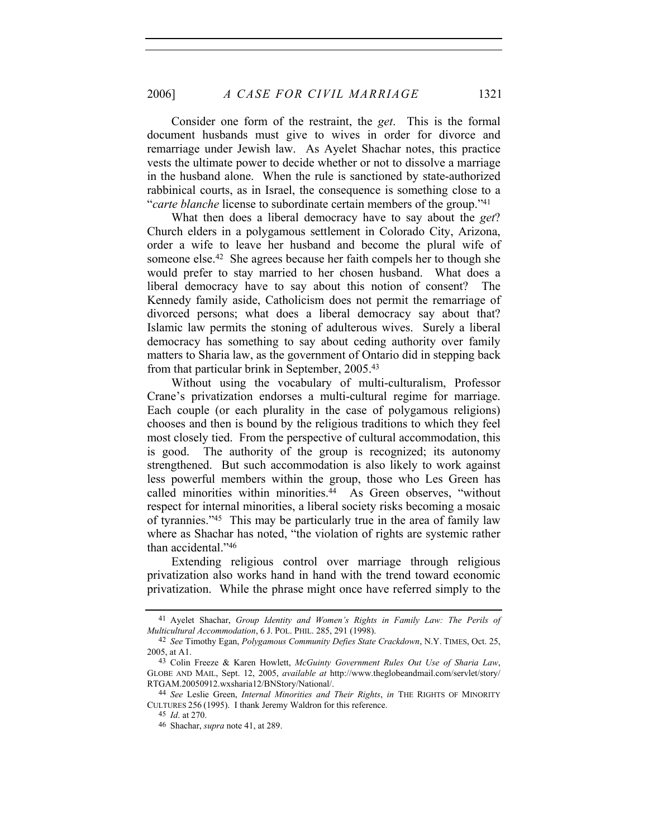Consider one form of the restraint, the *get*. This is the formal document husbands must give to wives in order for divorce and remarriage under Jewish law. As Ayelet Shachar notes, this practice vests the ultimate power to decide whether or not to dissolve a marriage in the husband alone. When the rule is sanctioned by state-authorized rabbinical courts, as in Israel, the consequence is something close to a "*carte blanche* license to subordinate certain members of the group."41

What then does a liberal democracy have to say about the *get*? Church elders in a polygamous settlement in Colorado City, Arizona, order a wife to leave her husband and become the plural wife of someone else.42 She agrees because her faith compels her to though she would prefer to stay married to her chosen husband. What does a liberal democracy have to say about this notion of consent? The Kennedy family aside, Catholicism does not permit the remarriage of divorced persons; what does a liberal democracy say about that? Islamic law permits the stoning of adulterous wives. Surely a liberal democracy has something to say about ceding authority over family matters to Sharia law, as the government of Ontario did in stepping back from that particular brink in September, 2005.43

Without using the vocabulary of multi-culturalism, Professor Crane's privatization endorses a multi-cultural regime for marriage. Each couple (or each plurality in the case of polygamous religions) chooses and then is bound by the religious traditions to which they feel most closely tied. From the perspective of cultural accommodation, this is good. The authority of the group is recognized; its autonomy strengthened. But such accommodation is also likely to work against less powerful members within the group, those who Les Green has called minorities within minorities.<sup>44</sup> As Green observes, "without respect for internal minorities, a liberal society risks becoming a mosaic of tyrannies."45 This may be particularly true in the area of family law where as Shachar has noted, "the violation of rights are systemic rather than accidental."46

Extending religious control over marriage through religious privatization also works hand in hand with the trend toward economic privatization. While the phrase might once have referred simply to the

<sup>41</sup> Ayelet Shachar, *Group Identity and Women's Rights in Family Law: The Perils of Multicultural Accommodation*, 6 J. POL. PHIL. 285, 291 (1998).

<sup>42</sup> *See* Timothy Egan, *Polygamous Community Defies State Crackdown*, N.Y. TIMES, Oct. 25, 2005, at A1.

<sup>43</sup> Colin Freeze & Karen Howlett, *McGuinty Government Rules Out Use of Sharia Law*, GLOBE AND MAIL, Sept. 12, 2005, *available at* http://www.theglobeandmail.com/servlet/story/ RTGAM.20050912.wxsharia12/BNStory/National/.

<sup>44</sup> *See* Leslie Green, *Internal Minorities and Their Rights*, *in* THE RIGHTS OF MINORITY CULTURES 256 (1995). I thank Jeremy Waldron for this reference.

<sup>45</sup> *Id*. at 270.

<sup>46</sup> Shachar, *supra* note 41, at 289.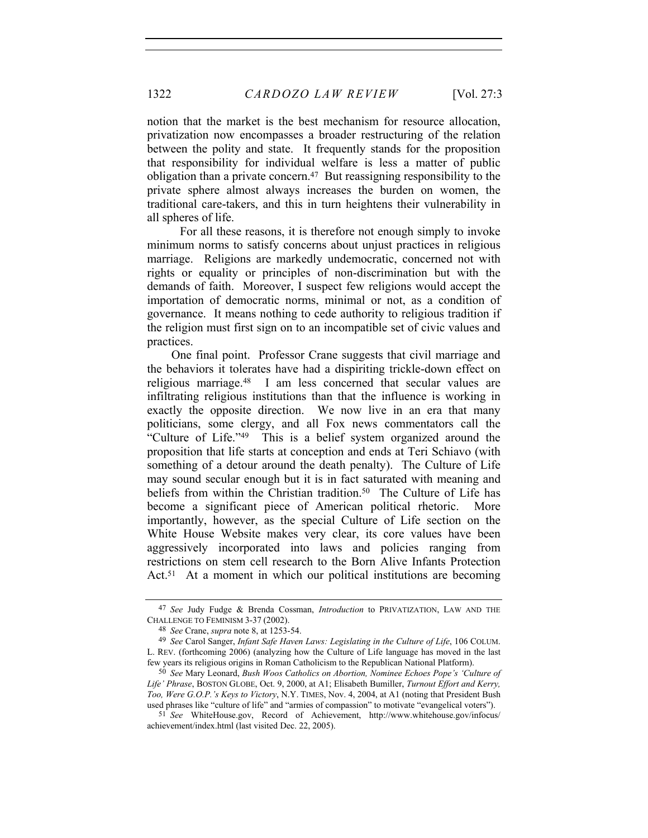notion that the market is the best mechanism for resource allocation, privatization now encompasses a broader restructuring of the relation between the polity and state. It frequently stands for the proposition that responsibility for individual welfare is less a matter of public obligation than a private concern.47 But reassigning responsibility to the private sphere almost always increases the burden on women, the traditional care-takers, and this in turn heightens their vulnerability in all spheres of life.

 For all these reasons, it is therefore not enough simply to invoke minimum norms to satisfy concerns about unjust practices in religious marriage. Religions are markedly undemocratic, concerned not with rights or equality or principles of non-discrimination but with the demands of faith. Moreover, I suspect few religions would accept the importation of democratic norms, minimal or not, as a condition of governance. It means nothing to cede authority to religious tradition if the religion must first sign on to an incompatible set of civic values and practices.

One final point. Professor Crane suggests that civil marriage and the behaviors it tolerates have had a dispiriting trickle-down effect on religious marriage.48 I am less concerned that secular values are infiltrating religious institutions than that the influence is working in exactly the opposite direction. We now live in an era that many politicians, some clergy, and all Fox news commentators call the "Culture of Life."49 This is a belief system organized around the proposition that life starts at conception and ends at Teri Schiavo (with something of a detour around the death penalty). The Culture of Life may sound secular enough but it is in fact saturated with meaning and beliefs from within the Christian tradition.<sup>50</sup> The Culture of Life has become a significant piece of American political rhetoric. More importantly, however, as the special Culture of Life section on the White House Website makes very clear, its core values have been aggressively incorporated into laws and policies ranging from restrictions on stem cell research to the Born Alive Infants Protection Act.<sup>51</sup> At a moment in which our political institutions are becoming

<sup>47</sup> *See* Judy Fudge & Brenda Cossman, *Introduction* to PRIVATIZATION, LAW AND THE CHALLENGE TO FEMINISM 3-37 (2002).

<sup>48</sup> *See* Crane, *supra* note 8, at 1253-54.

<sup>49</sup> *See* Carol Sanger, *Infant Safe Haven Laws: Legislating in the Culture of Life*, 106 COLUM. L. REV. (forthcoming 2006) (analyzing how the Culture of Life language has moved in the last few years its religious origins in Roman Catholicism to the Republican National Platform).

<sup>50</sup> *See* Mary Leonard, *Bush Woos Catholics on Abortion, Nominee Echoes Pope's 'Culture of Life' Phrase*, BOSTON GLOBE, Oct. 9, 2000, at A1; Elisabeth Bumiller, *Turnout Effort and Kerry, Too, Were G.O.P.'s Keys to Victory*, N.Y. TIMES, Nov. 4, 2004, at A1 (noting that President Bush used phrases like "culture of life" and "armies of compassion" to motivate "evangelical voters").

<sup>51</sup> *See* WhiteHouse.gov, Record of Achievement, http://www.whitehouse.gov/infocus/ achievement/index.html (last visited Dec. 22, 2005).